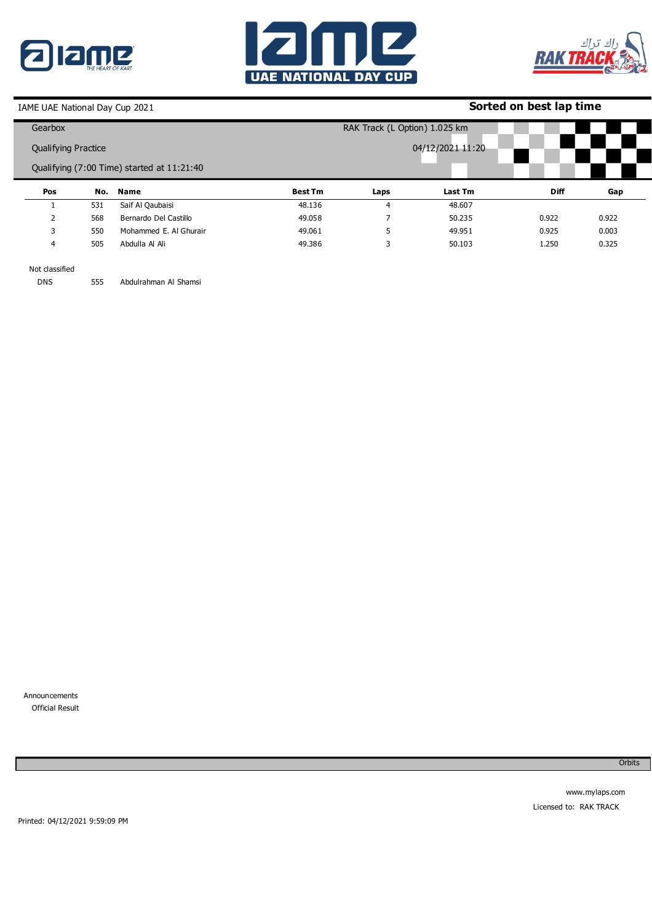





# **Sorted on best lap time**

|                     | Gearbox  |     |                                            |                | RAK Track (L Option) 1.025 km |                  |             |       |  |
|---------------------|----------|-----|--------------------------------------------|----------------|-------------------------------|------------------|-------------|-------|--|
| Qualifying Practice |          |     |                                            |                |                               | 04/12/2021 11:20 |             |       |  |
|                     |          |     | Qualifying (7:00 Time) started at 11:21:40 |                |                               |                  |             |       |  |
|                     | Pos      |     | No. Name                                   | <b>Best Tm</b> | Laps                          | Last Tm          | <b>Diff</b> | Gap   |  |
|                     |          |     |                                            |                |                               |                  |             |       |  |
|                     |          | 531 | Saif Al Qaubaisi                           | 48.136         | 4                             | 48.607           |             |       |  |
|                     | <u>ີ</u> | 568 | Bernardo Del Castillo                      | 49.058         |                               | 50.235           | 0.922       | 0.922 |  |
|                     | 3        | 550 | Mohammed E. Al Ghurair                     | 49.061         | 5                             | 49.951           | 0.925       | 0.003 |  |

Not classified DNS

555 Abdulrahman Al Shamsi

Announcements 0 Official Result

**Orbits**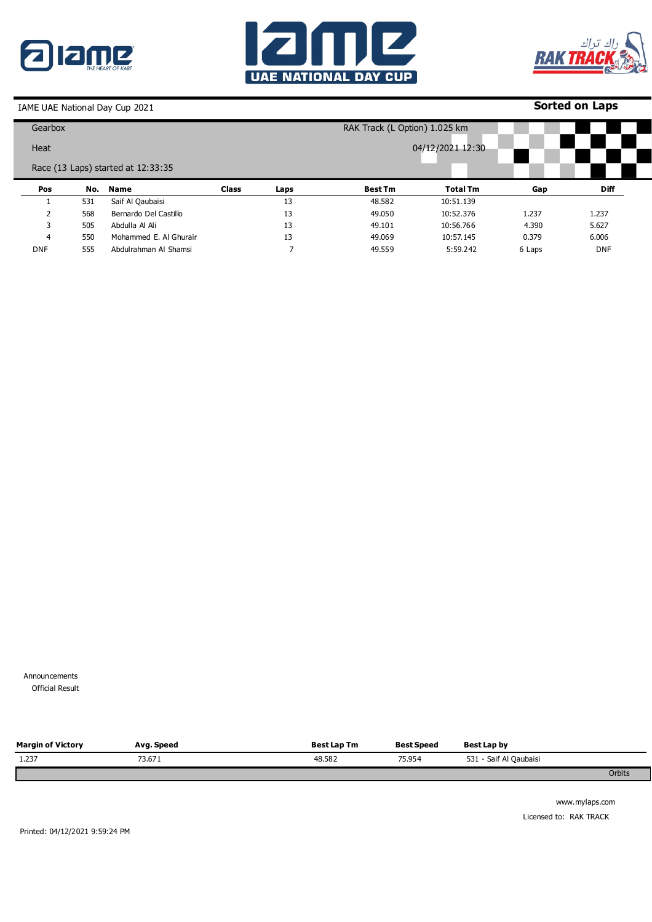





## **Sorted on Laps**

| Gearbox    |     |                                    |              |      | RAK Track (L Option) 1.025 km |                 |        |             |  |
|------------|-----|------------------------------------|--------------|------|-------------------------------|-----------------|--------|-------------|--|
| Heat       |     |                                    |              |      | 04/12/2021 12:30              |                 |        |             |  |
|            |     | Race (13 Laps) started at 12:33:35 |              |      |                               |                 |        |             |  |
| Pos        | No. | <b>Name</b>                        | <b>Class</b> | Laps | <b>Best Tm</b>                | <b>Total Tm</b> | Gap    | <b>Diff</b> |  |
|            | 531 | Saif Al Qaubaisi                   |              | 13   | 48.582                        | 10:51.139       |        |             |  |
|            | 568 | Bernardo Del Castillo              |              | 13   | 49.050                        | 10:52.376       | 1.237  | 1.237       |  |
| 3          | 505 | Abdulla Al Ali                     |              | 13   | 49.101                        | 10:56.766       | 4.390  | 5.627       |  |
| 4          | 550 | Mohammed E. Al Ghurair             |              | 13   | 49.069                        | 10:57.145       | 0.379  | 6.006       |  |
| <b>DNF</b> | 555 | Abdulrahman Al Shamsi              |              |      | 49.559                        | 5:59.242        | 6 Laps | <b>DNF</b>  |  |

Announcements 0 Official Result

| <b>Margin of Victory</b> | Avg. Speed | <b>Best Lap Tm</b> | <b>Best Speed</b> | Best Lap by            |        |
|--------------------------|------------|--------------------|-------------------|------------------------|--------|
| 1.237                    | 73.671     | 48.582             | 75.954            | 531 - Saif Al Qaubaisi |        |
|                          |            |                    |                   |                        | Orbits |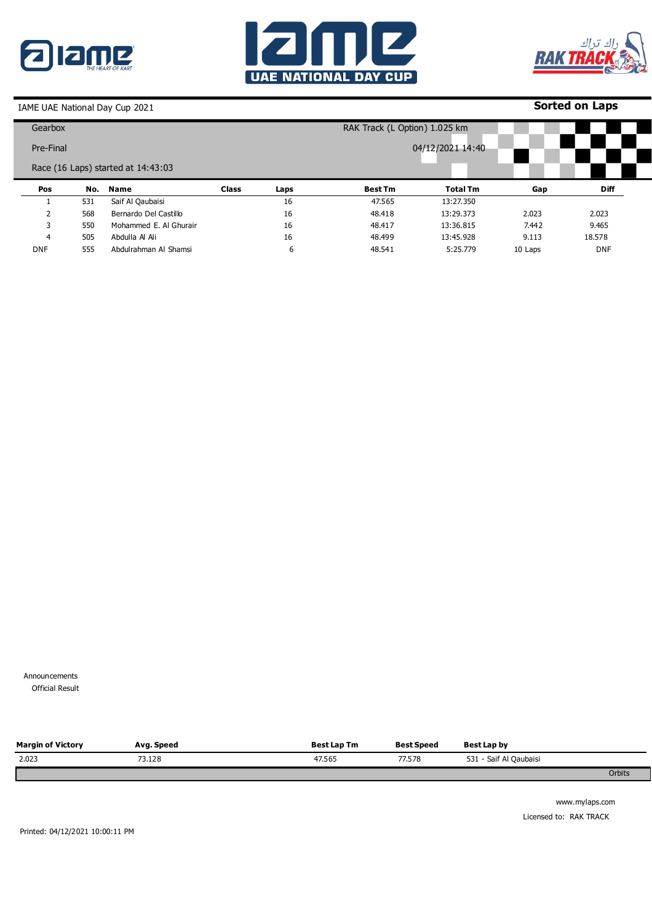





## **Sorted on Laps**

| Gearbox                            |     |                        |              |      | RAK Track (L Option) 1.025 km |                  |         |             |  |
|------------------------------------|-----|------------------------|--------------|------|-------------------------------|------------------|---------|-------------|--|
| Pre-Final                          |     |                        |              |      |                               | 04/12/2021 14:40 |         |             |  |
| Race (16 Laps) started at 14:43:03 |     |                        |              |      |                               |                  |         |             |  |
| Pos                                | No. | Name                   | <b>Class</b> | Laps | <b>Best Tm</b>                | <b>Total Tm</b>  | Gap     | <b>Diff</b> |  |
|                                    | 531 | Saif Al Qaubaisi       |              | 16   | 47.565                        | 13:27.350        |         |             |  |
|                                    | 568 | Bernardo Del Castillo  |              | 16   | 48.418                        | 13:29.373        | 2.023   | 2.023       |  |
| 3                                  | 550 | Mohammed E. Al Ghurair |              | 16   | 48.417                        | 13:36.815        | 7.442   | 9.465       |  |
| 4                                  | 505 | Abdulla Al Ali         |              | 16   | 48.499                        | 13:45.928        | 9.113   | 18.578      |  |
| <b>DNF</b>                         | 555 | Abdulrahman Al Shamsi  |              | 6    | 48.541                        | 5:25.779         | 10 Laps | <b>DNF</b>  |  |

Announcements 0 Official Result

| <b>Margin of Victory</b> | Avg. Speed | <b>Best Lap Tm</b> | <b>Best Speed</b> | Best Lap by            |        |
|--------------------------|------------|--------------------|-------------------|------------------------|--------|
| 2.023                    | 73.128     | 47.565             | 77.578            | 531 - Saif Al Qaubaisi |        |
|                          |            |                    |                   |                        | Orbits |